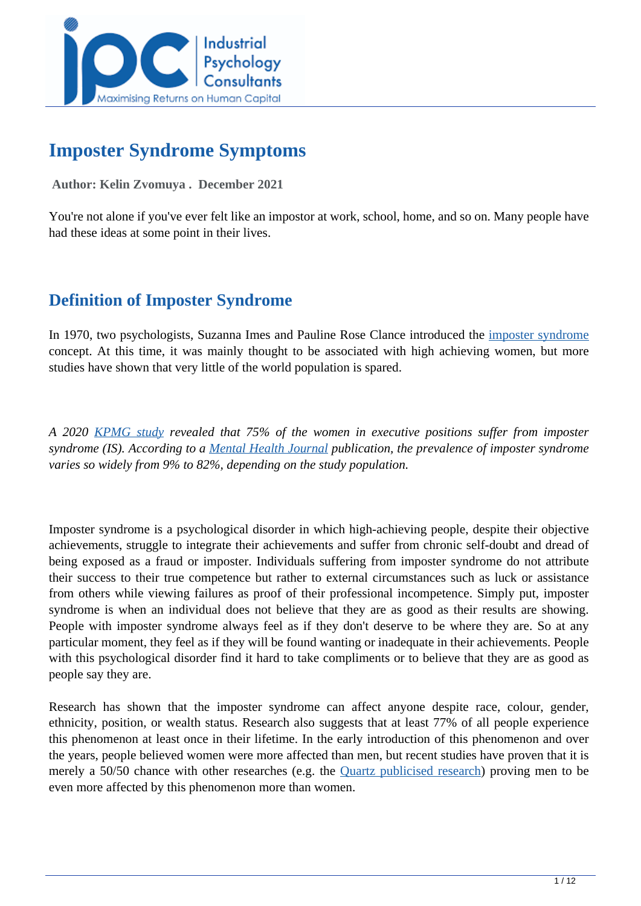

# **Imposter Syndrome Symptoms**

#### **Author: Kelin Zvomuya . December 2021**

You're not alone if you've ever felt like an impostor at work, school, home, and so on. Many people have had these ideas at some point in their lives.

## **Definition of Imposter Syndrome**

In 1970, two psychologists, Suzanna Imes and Pauline Rose Clance introduced the [imposter syndrome](https://www.verywellmind.com/imposter-syndrome-and-social-anxiety-disorder-4156469) concept. At this time, it was mainly thought to be associated with high achieving women, but more studies have shown that very little of the world population is spared.

*A 2020 [KPMG study](https://www.forbes.com/sites/kathycaprino/2020/10/22/impostor-syndrome-prevalence-in-professional-women-face-and-how-to-overcome-it/?sh=8b19f7f73cbd) revealed that 75% of the women in executive positions suffer from imposter syndrome (IS). According to a [Mental Health Journal](https://www.mentalhealthjournal.org/articles/commentary-prevalence-predictors-and-treatment-of-imposter-syndrome-a-systematic-review.html) publication, the prevalence of imposter syndrome varies so widely from 9% to 82%, depending on the study population.*

Imposter syndrome is a psychological disorder in which high-achieving people, despite their objective achievements, struggle to integrate their achievements and suffer from chronic self-doubt and dread of being exposed as a fraud or imposter. Individuals suffering from imposter syndrome do not attribute their success to their true competence but rather to external circumstances such as luck or assistance from others while viewing failures as proof of their professional incompetence. Simply put, imposter syndrome is when an individual does not believe that they are as good as their results are showing. People with imposter syndrome always feel as if they don't deserve to be where they are. So at any particular moment, they feel as if they will be found wanting or inadequate in their achievements. People with this psychological disorder find it hard to take compliments or to believe that they are as good as people say they are.

Research has shown that the imposter syndrome can affect anyone despite race, colour, gender, ethnicity, position, or wealth status. Research also suggests that at least 77% of all people experience this phenomenon at least once in their lifetime. In the early introduction of this phenomenon and over the years, people believed women were more affected than men, but recent studies have proven that it is merely a 50/50 chance with other researches (e.g. the [Quartz publicised research\)](https://qz.com/1296783/it-turns-out-men-not-women-suffer-more-from-imposter-syndrome/) proving men to be even more affected by this phenomenon more than women.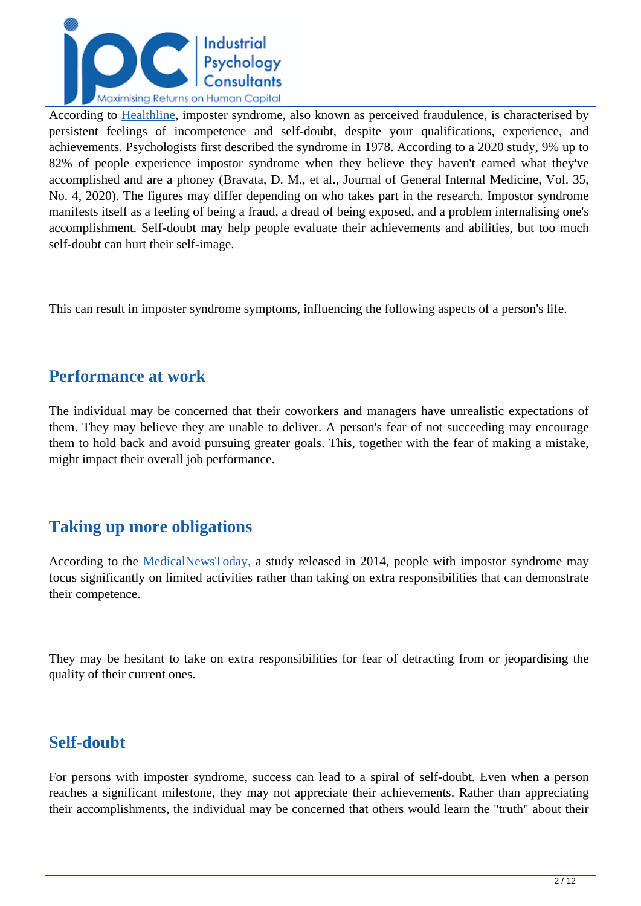

According to [Healthline,](https://www.healthline.com/health/mental-health/imposter-syndrome) imposter syndrome, also known as perceived fraudulence, is characterised by persistent feelings of incompetence and self-doubt, despite your qualifications, experience, and achievements. Psychologists first described the syndrome in 1978. According to a 2020 study, 9% up to 82% of people experience impostor syndrome when they believe they haven't earned what they've accomplished and are a phoney (Bravata, D. M., et al., Journal of General Internal Medicine, Vol. 35, No. 4, 2020). The figures may differ depending on who takes part in the research. Impostor syndrome manifests itself as a feeling of being a fraud, a dread of being exposed, and a problem internalising one's accomplishment. Self-doubt may help people evaluate their achievements and abilities, but too much self-doubt can hurt their self-image.

This can result in imposter syndrome symptoms, influencing the following aspects of a person's life.

## **Performance at work**

The individual may be concerned that their coworkers and managers have unrealistic expectations of them. They may believe they are unable to deliver. A person's fear of not succeeding may encourage them to hold back and avoid pursuing greater goals. This, together with the fear of making a mistake, might impact their overall job performance.

## **Taking up more obligations**

According to the [MedicalNewsToday,](https://www.medicalnewstoday.com/articles/321730) a study released in 2014, people with impostor syndrome may focus significantly on limited activities rather than taking on extra responsibilities that can demonstrate their competence.

They may be hesitant to take on extra responsibilities for fear of detracting from or jeopardising the quality of their current ones.

## **Self-doubt**

For persons with imposter syndrome, success can lead to a spiral of self-doubt. Even when a person reaches a significant milestone, they may not appreciate their achievements. Rather than appreciating their accomplishments, the individual may be concerned that others would learn the "truth" about their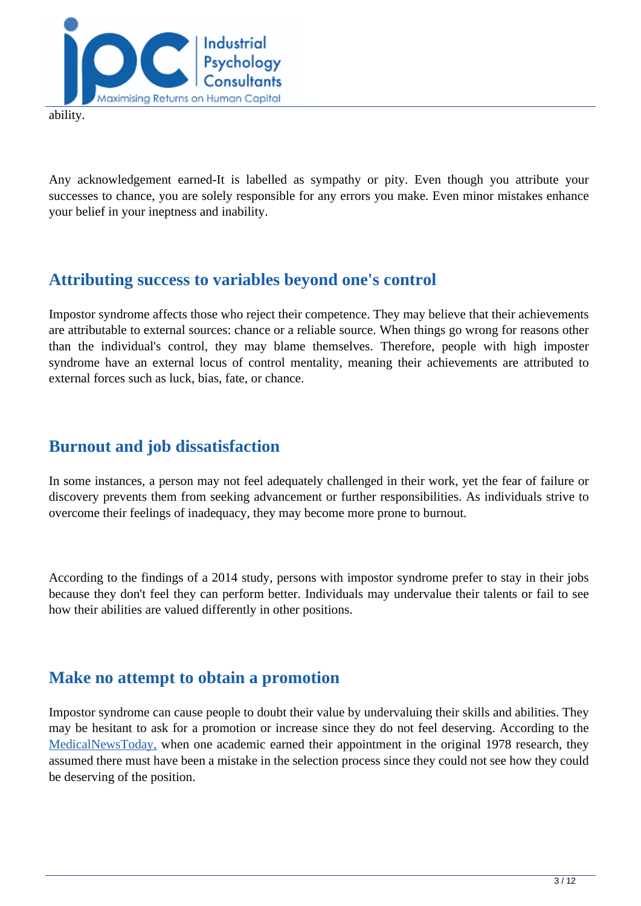

ability.

Any acknowledgement earned-It is labelled as sympathy or pity. Even though you attribute your successes to chance, you are solely responsible for any errors you make. Even minor mistakes enhance your belief in your ineptness and inability.

## **Attributing success to variables beyond one's control**

Impostor syndrome affects those who reject their competence. They may believe that their achievements are attributable to external sources: chance or a reliable source. When things go wrong for reasons other than the individual's control, they may blame themselves. Therefore, people with high imposter syndrome have an external locus of control mentality, meaning their achievements are attributed to external forces such as luck, bias, fate, or chance.

## **Burnout and job dissatisfaction**

In some instances, a person may not feel adequately challenged in their work, yet the fear of failure or discovery prevents them from seeking advancement or further responsibilities. As individuals strive to overcome their feelings of inadequacy, they may become more prone to burnout.

According to the findings of a 2014 study, persons with impostor syndrome prefer to stay in their jobs because they don't feel they can perform better. Individuals may undervalue their talents or fail to see how their abilities are valued differently in other positions.

## **Make no attempt to obtain a promotion**

Impostor syndrome can cause people to doubt their value by undervaluing their skills and abilities. They may be hesitant to ask for a promotion or increase since they do not feel deserving. According to the [MedicalNewsToday,](https://www.medicalnewstoday.com/articles/321730) when one academic earned their appointment in the original 1978 research, they assumed there must have been a mistake in the selection process since they could not see how they could be deserving of the position.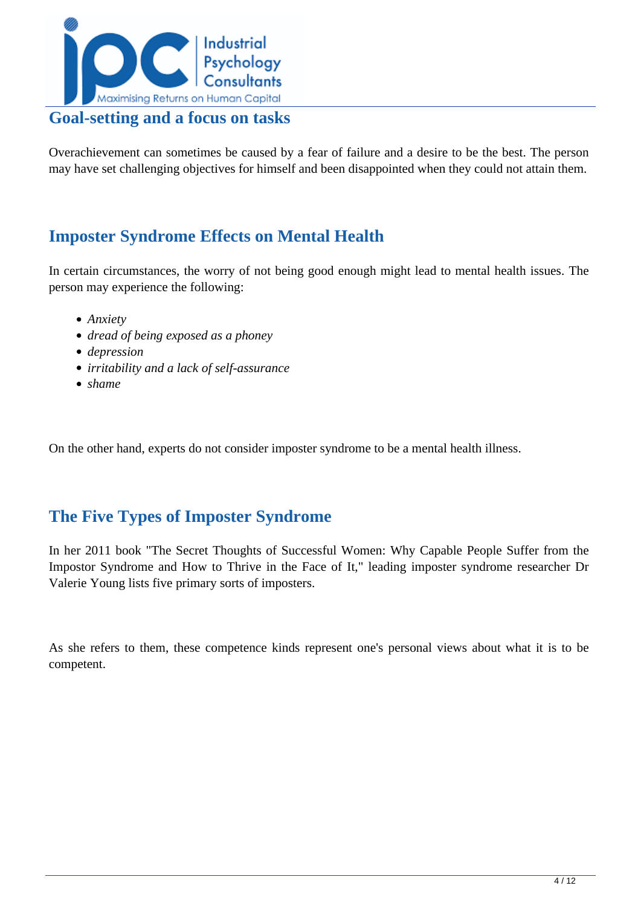

## **Goal-setting and a focus on tasks**

Overachievement can sometimes be caused by a fear of failure and a desire to be the best. The person may have set challenging objectives for himself and been disappointed when they could not attain them.

## **Imposter Syndrome Effects on Mental Health**

In certain circumstances, the worry of not being good enough might lead to mental health issues. The person may experience the following:

- *Anxiety*
- *dread of being exposed as a phoney*
- *depression*
- *irritability and a lack of self-assurance*
- *shame*

On the other hand, experts do not consider imposter syndrome to be a mental health illness.

## **The Five Types of Imposter Syndrome**

In her 2011 book "The Secret Thoughts of Successful Women: Why Capable People Suffer from the Impostor Syndrome and How to Thrive in the Face of It," leading imposter syndrome researcher Dr Valerie Young lists five primary sorts of imposters.

As she refers to them, these competence kinds represent one's personal views about what it is to be competent.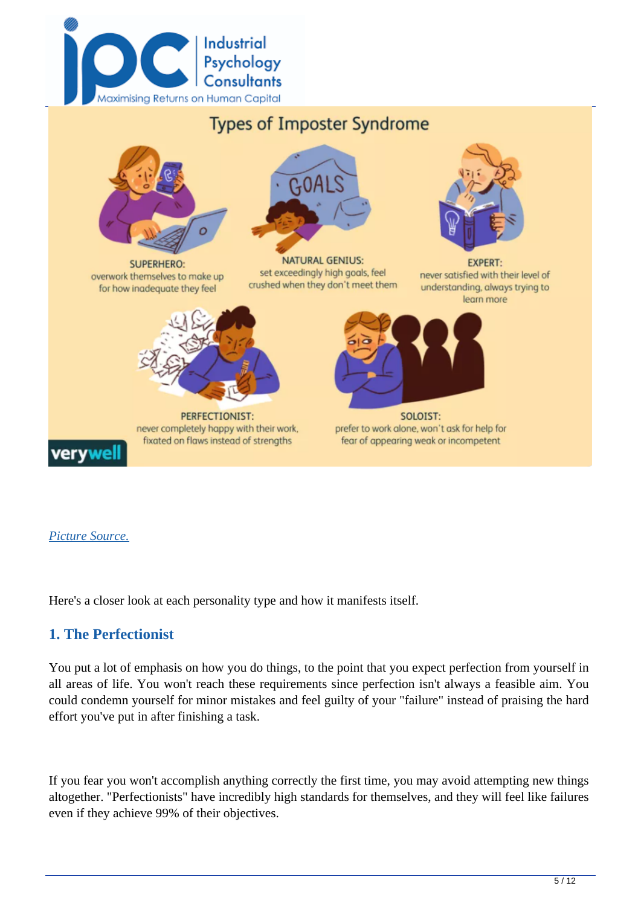



#### *[Picture Source.](https://www.verywellmind.com/imposter-syndrome-and-social-anxiety-disorder-4156469)*

Here's a closer look at each personality type and how it manifests itself.

#### **1. The Perfectionist**

You put a lot of emphasis on how you do things, to the point that you expect perfection from yourself in all areas of life. You won't reach these requirements since perfection isn't always a feasible aim. You could condemn yourself for minor mistakes and feel guilty of your "failure" instead of praising the hard effort you've put in after finishing a task.

If you fear you won't accomplish anything correctly the first time, you may avoid attempting new things altogether. "Perfectionists" have incredibly high standards for themselves, and they will feel like failures even if they achieve 99% of their objectives.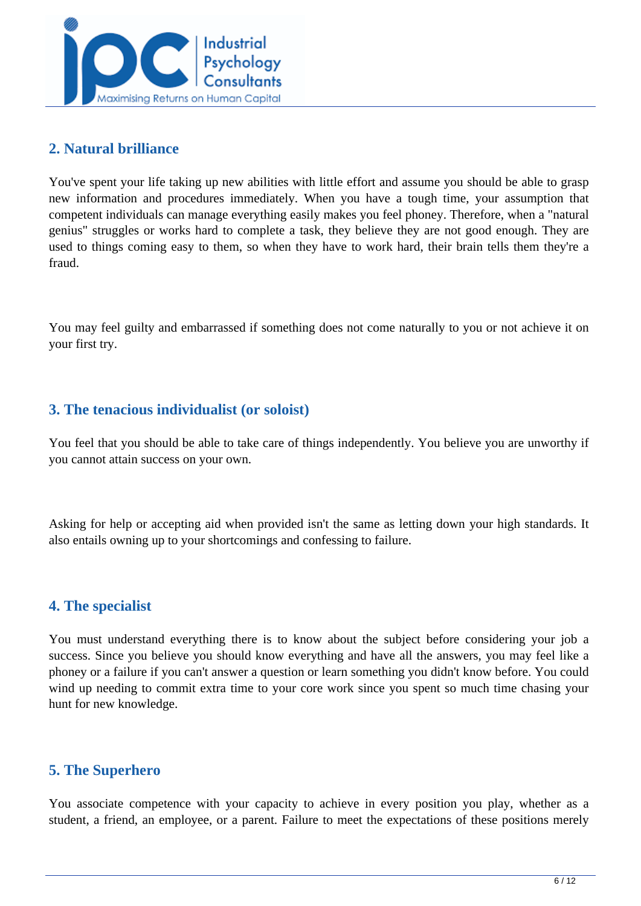

#### **2. Natural brilliance**

You've spent your life taking up new abilities with little effort and assume you should be able to grasp new information and procedures immediately. When you have a tough time, your assumption that competent individuals can manage everything easily makes you feel phoney. Therefore, when a "natural genius" struggles or works hard to complete a task, they believe they are not good enough. They are used to things coming easy to them, so when they have to work hard, their brain tells them they're a fraud.

You may feel guilty and embarrassed if something does not come naturally to you or not achieve it on your first try.

### **3. The tenacious individualist (or soloist)**

You feel that you should be able to take care of things independently. You believe you are unworthy if you cannot attain success on your own.

Asking for help or accepting aid when provided isn't the same as letting down your high standards. It also entails owning up to your shortcomings and confessing to failure.

#### **4. The specialist**

You must understand everything there is to know about the subject before considering your job a success. Since you believe you should know everything and have all the answers, you may feel like a phoney or a failure if you can't answer a question or learn something you didn't know before. You could wind up needing to commit extra time to your core work since you spent so much time chasing your hunt for new knowledge.

#### **5. The Superhero**

You associate competence with your capacity to achieve in every position you play, whether as a student, a friend, an employee, or a parent. Failure to meet the expectations of these positions merely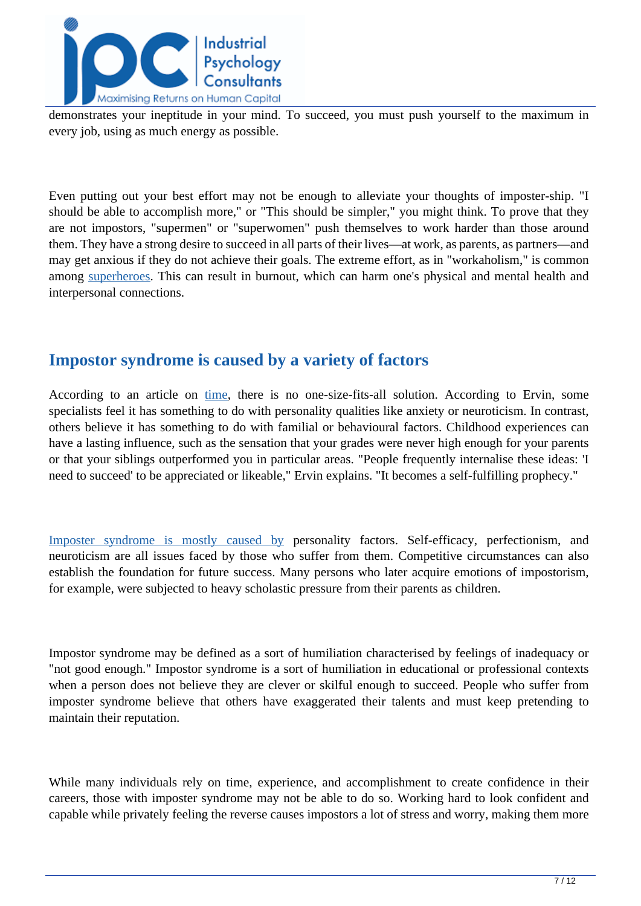

demonstrates your ineptitude in your mind. To succeed, you must push yourself to the maximum in every job, using as much energy as possible.

Even putting out your best effort may not be enough to alleviate your thoughts of imposter-ship. "I should be able to accomplish more," or "This should be simpler," you might think. To prove that they are not impostors, "supermen" or "superwomen" push themselves to work harder than those around them. They have a strong desire to succeed in all parts of their lives—at work, as parents, as partners—and may get anxious if they do not achieve their goals. The extreme effort, as in "workaholism," is common among [superheroes.](https://www.medicalnewstoday.com/articles/321730#types) This can result in burnout, which can harm one's physical and mental health and interpersonal connections.

## **Impostor syndrome is caused by a variety of factors**

According to an article on [time](https://time.com/5312483/how-to-deal-with-impostor-syndrome/), there is no one-size-fits-all solution. According to Ervin, some specialists feel it has something to do with personality qualities like anxiety or neuroticism. In contrast, others believe it has something to do with familial or behavioural factors. Childhood experiences can have a lasting influence, such as the sensation that your grades were never high enough for your parents or that your siblings outperformed you in particular areas. "People frequently internalise these ideas: 'I need to succeed' to be appreciated or likeable," Ervin explains. "It becomes a self-fulfilling prophecy."

[Imposter syndrome is mostly caused by pers](https://beecholmeadultcare.co.uk/what-is-impostor-syndrome/)onality factors. Self-efficacy, perfectionism, and neuroticism are all issues faced by those who suffer from them. Competitive circumstances can also establish the foundation for future success. Many persons who later acquire emotions of impostorism, for example, were subjected to heavy scholastic pressure from their parents as children.

Impostor syndrome may be defined as a sort of humiliation characterised by feelings of inadequacy or "not good enough." Impostor syndrome is a sort of humiliation in educational or professional contexts when a person does not believe they are clever or skilful enough to succeed. People who suffer from imposter syndrome believe that others have exaggerated their talents and must keep pretending to maintain their reputation.

While many individuals rely on time, experience, and accomplishment to create confidence in their careers, those with imposter syndrome may not be able to do so. Working hard to look confident and capable while privately feeling the reverse causes impostors a lot of stress and worry, making them more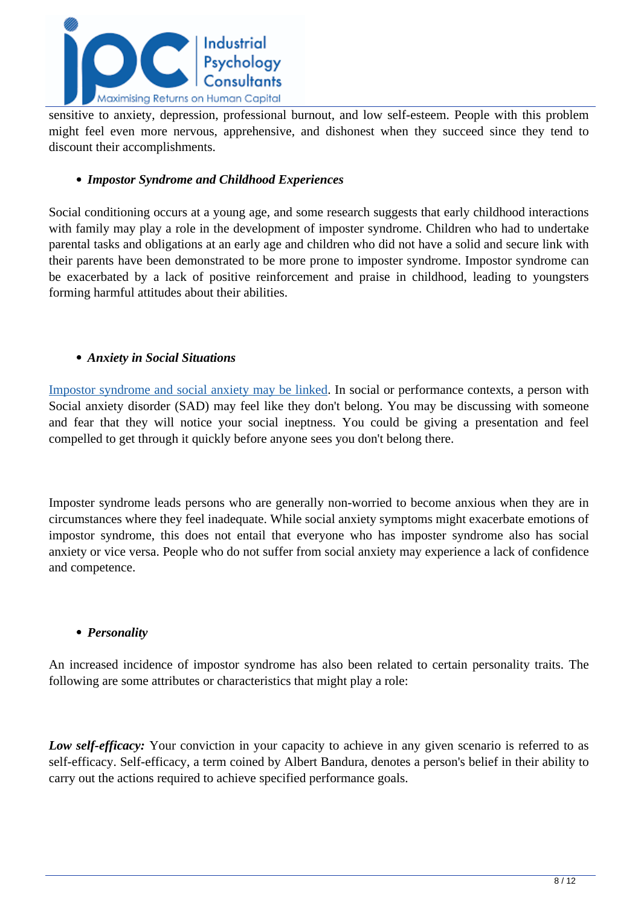

sensitive to anxiety, depression, professional burnout, and low self-esteem. People with this problem might feel even more nervous, apprehensive, and dishonest when they succeed since they tend to discount their accomplishments.

#### *Impostor Syndrome and Childhood Experiences*

Social conditioning occurs at a young age, and some research suggests that early childhood interactions with family may play a role in the development of imposter syndrome. Children who had to undertake parental tasks and obligations at an early age and children who did not have a solid and secure link with their parents have been demonstrated to be more prone to imposter syndrome. Impostor syndrome can be exacerbated by a lack of positive reinforcement and praise in childhood, leading to youngsters forming harmful attitudes about their abilities.

#### *Anxiety in Social Situations*

[Impostor syndrome and social anxiety may be linked.](https://www.verywellmind.com/imposter-syndrome-and-social-anxiety-disorder-4156469) In social or performance contexts, a person with Social anxiety disorder (SAD) may feel like they don't belong. You may be discussing with someone and fear that they will notice your social ineptness. You could be giving a presentation and feel compelled to get through it quickly before anyone sees you don't belong there.

Imposter syndrome leads persons who are generally non-worried to become anxious when they are in circumstances where they feel inadequate. While social anxiety symptoms might exacerbate emotions of impostor syndrome, this does not entail that everyone who has imposter syndrome also has social anxiety or vice versa. People who do not suffer from social anxiety may experience a lack of confidence and competence.

#### *Personality*

An increased incidence of impostor syndrome has also been related to certain personality traits. The following are some attributes or characteristics that might play a role:

*Low self-efficacy:* Your conviction in your capacity to achieve in any given scenario is referred to as self-efficacy. Self-efficacy, a term coined by Albert Bandura, denotes a person's belief in their ability to carry out the actions required to achieve specified performance goals.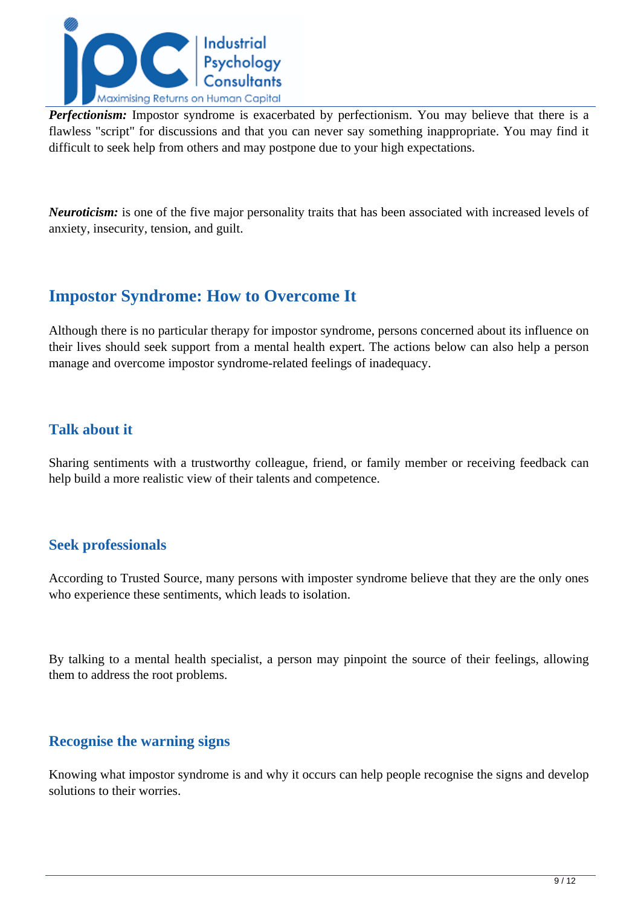

*Perfectionism:* Impostor syndrome is exacerbated by perfectionism. You may believe that there is a flawless "script" for discussions and that you can never say something inappropriate. You may find it difficult to seek help from others and may postpone due to your high expectations.

*Neuroticism:* is one of the five major personality traits that has been associated with increased levels of anxiety, insecurity, tension, and guilt.

## **Impostor Syndrome: How to Overcome It**

Although there is no particular therapy for impostor syndrome, persons concerned about its influence on their lives should seek support from a mental health expert. The actions below can also help a person manage and overcome impostor syndrome-related feelings of inadequacy.

### **Talk about it**

Sharing sentiments with a trustworthy colleague, friend, or family member or receiving feedback can help build a more realistic view of their talents and competence.

#### **Seek professionals**

According to Trusted Source, many persons with imposter syndrome believe that they are the only ones who experience these sentiments, which leads to isolation.

By talking to a mental health specialist, a person may pinpoint the source of their feelings, allowing them to address the root problems.

#### **Recognise the warning signs**

Knowing what impostor syndrome is and why it occurs can help people recognise the signs and develop solutions to their worries.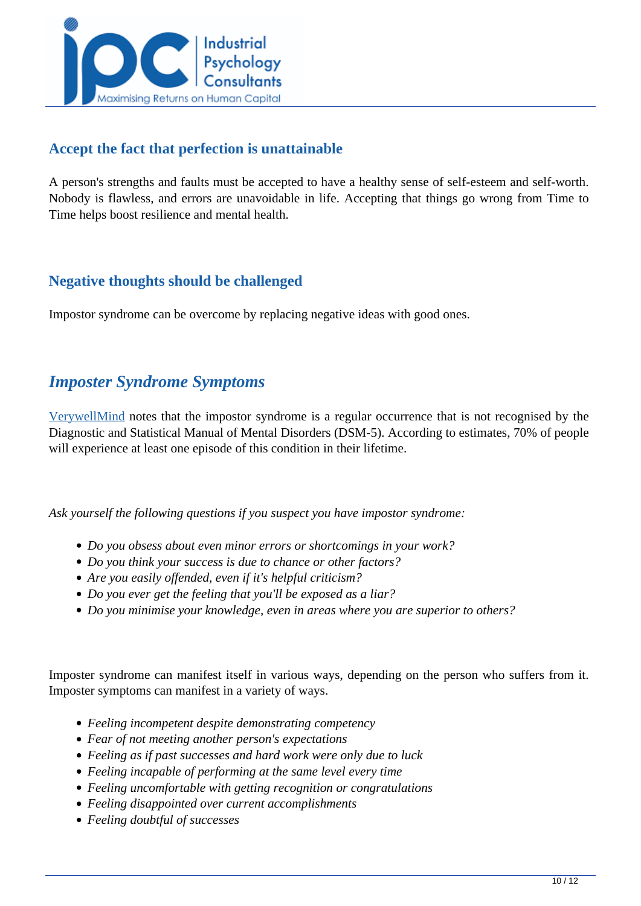

#### **Accept the fact that perfection is unattainable**

A person's strengths and faults must be accepted to have a healthy sense of self-esteem and self-worth. Nobody is flawless, and errors are unavoidable in life. Accepting that things go wrong from Time to Time helps boost resilience and mental health.

## **Negative thoughts should be challenged**

Impostor syndrome can be overcome by replacing negative ideas with good ones.

## *Imposter Syndrome Symptoms*

[VerywellMind](https://www.verywellmind.com/imposter-syndrome-and-social-anxiety-disorder-4156469) notes that the impostor syndrome is a regular occurrence that is not recognised by the Diagnostic and Statistical Manual of Mental Disorders (DSM-5). According to estimates, 70% of people will experience at least one episode of this condition in their lifetime.

*Ask yourself the following questions if you suspect you have impostor syndrome:*

- *Do you obsess about even minor errors or shortcomings in your work?*
- *Do you think your success is due to chance or other factors?*
- *Are you easily offended, even if it's helpful criticism?*
- *Do you ever get the feeling that you'll be exposed as a liar?*
- *Do you minimise your knowledge, even in areas where you are superior to others?*

Imposter syndrome can manifest itself in various ways, depending on the person who suffers from it. Imposter symptoms can manifest in a variety of ways.

- *Feeling incompetent despite demonstrating competency*
- *Fear of not meeting another person's expectations*
- *Feeling as if past successes and hard work were only due to luck*
- *Feeling incapable of performing at the same level every time*
- *Feeling uncomfortable with getting recognition or congratulations*
- *Feeling disappointed over current accomplishments*
- *Feeling doubtful of successes*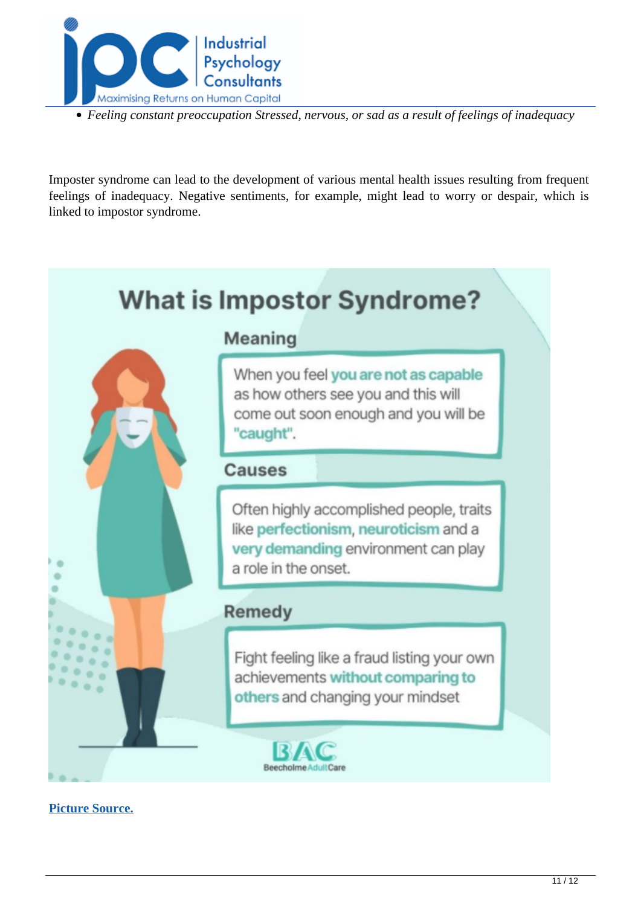

*Feeling constant preoccupation Stressed, nervous, or sad as a result of feelings of inadequacy*

Imposter syndrome can lead to the development of various mental health issues resulting from frequent feelings of inadequacy. Negative sentiments, for example, might lead to worry or despair, which is linked to impostor syndrome.

# **What is Impostor Syndrome?**



# Meaning

When you feel you are not as capable as how others see you and this will come out soon enough and you will be "caught".

## Causes

Often highly accomplished people, traits like perfectionism, neuroticism and a very demanding environment can play a role in the onset.

## Remedy

Fight feeling like a fraud listing your own achievements without comparing to others and changing your mindset



**[Picture Source.](https://beecholmeadultcare.co.uk/what-is-impostor-syndrome/)**